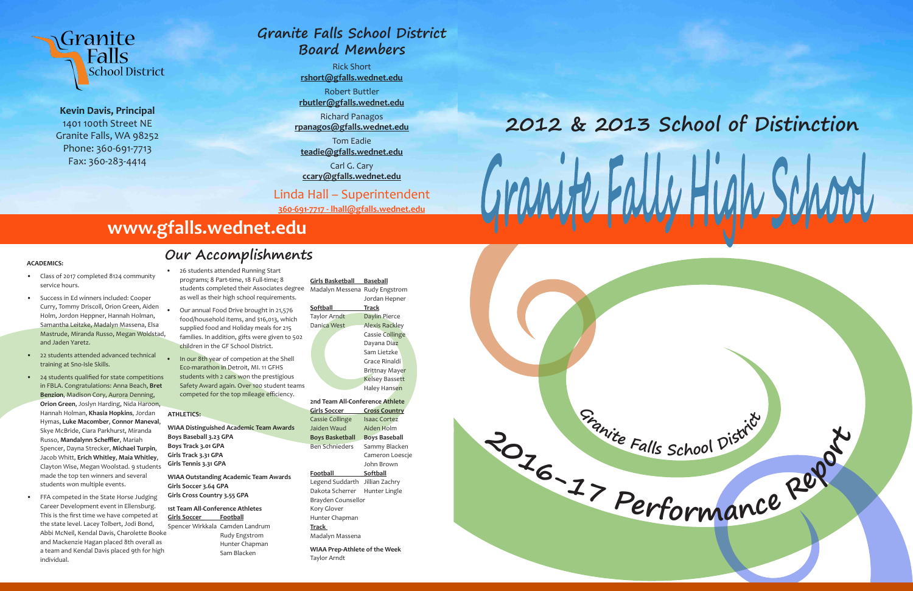



**Kevin Davis, Principal** 1401 100th Street NE Granite Falls, WA 98252 Phone: 360-691-7713 Fax: 360-283-4414

#### **ACADEMICS:**

- Class of 2017 completed 8124 community service hours.
- Success in Ed winners included: Cooper Curry, Tommy Driscoll, Orion Green, Aiden Holm, Jordon Heppner, Hannah Holman, Samantha Leitzke, Madalyn Massena, Elsa Mastrude, Miranda Russo, Megan Woldstad, and Jaden Yaretz.
- 22 students attended advanced technical training at Sno-Isle Skills.
- 24 students qualified for state competitions in FBLA. Congratulations: Anna Beach, **Bret Benzion**, Madison Cory, Aurora Denning, **Orion Green**, Joslyn Harding, Nida Haroon, Hannah Holman, **Khasia Hopkins**, Jordan Hymas, **Luke Macomber**, **Connor Maneval**, Skye McBride, Ciara Parkhurst, Miranda Russo, **Mandalynn Scheffler**, Mariah Spencer, Dayna Strecker, **Michael Turpin**, Jacob Whitt, **Erich Whitley**, **Maia Whitley**, Clayton Wise, Megan Woolstad. 9 students made the top ten winners and several students won multiple events.
- FFA competed in the State Horse Judging Career Development event in Ellensburg. This is the first time we have competed at the state level. Lacey Tolbert, Jodi Bond, Abbi McNeil, Kendal Davis, Charolette Booke and Mackenzie Hagan placed 8th overall as a team and Kendal Davis placed 9th for high individual.

• In our 8th year of competion at the Shell Eco-marathon in Detroit, MI. 11 GFHS students with 2 cars won the prestigious Safety Award again. Over 100 student teams competed for the top mileage efficiency.

• 26 students attended Running Start programs; 8 Part-time, 18 Full-time; 8 students completed their Associates degree Madalyn Messena Rudy Engstrom as well as their high school requirements.

• Our annual Food Drive brought in 21,576 food/household items, and \$16,013, which supplied food and Holiday meals for 215 families. In addition, gifts were given to 502 children in the GF School District.

#### **ATHLETICS:**

 **WIAA Distinguished Academic Team Awards Boys Baseball 3.23 GPA Boys Track 3.01 GPA Girls Track 3.31 GPA Girls Tennis 3.31 GPA**

 **WIAA Outstanding Academic Team Awards Girls Soccer 3.64 GPA Girls Cross Country 3.55 GPA**

 **1st Team All-Conference Athletes Girls Soccer Football**

 Spencer Wirkkala Camden Landrum Rudy Engstrom Hunter Chapman Sam Blacken

**Girls Basketball Baseball** Jordan Hepner **Softball Track** Taylor Arndt Daylin Pierce Danica West Alexis Rackley Cassie Collinge Dayana Diaz Sam Lietzke Grace Rinaldi Brittnay Mayer Kelsey Bassett Haley Hansen

**2nd Team All-Conference Athlete Girls Soccer Cross Country** Cassie Collinge Isaac Cortez Jaiden Waud Aiden Holm **Boys Basketball Boys Baseball** Ben Schnieders Sammy Blacken Cameron Loescje John Brown **Football Softball** Legend Suddarth Jillian Zachry

Dakota Scherrer Hunter Lingle Brayden Counsellor Kory Glover Hunter Chapman **Track**  Madalyn Massena

**WIAA Prep-Athlete of the Week** Taylor Arndt



**Our Accomplishments**

# **www.gfalls.wednet.edu**

# **2012 & 2013 School of Distinction**

# **Granite Falls School District Board Members**

Rick Short **rshort@gfalls.wednet.edu** Robert Buttler

**rbutler@gfalls.wednet.edu**

Richard Panagos **rpanagos@gfalls.wednet.edu**

Tom Eadie **teadie@gfalls.wednet.edu**

Carl G. Cary **ccary@gfalls.wednet.edu**

Linda Hall – Superintendent

**360-691-7717 - lhall@gfalls.wednet.edu**